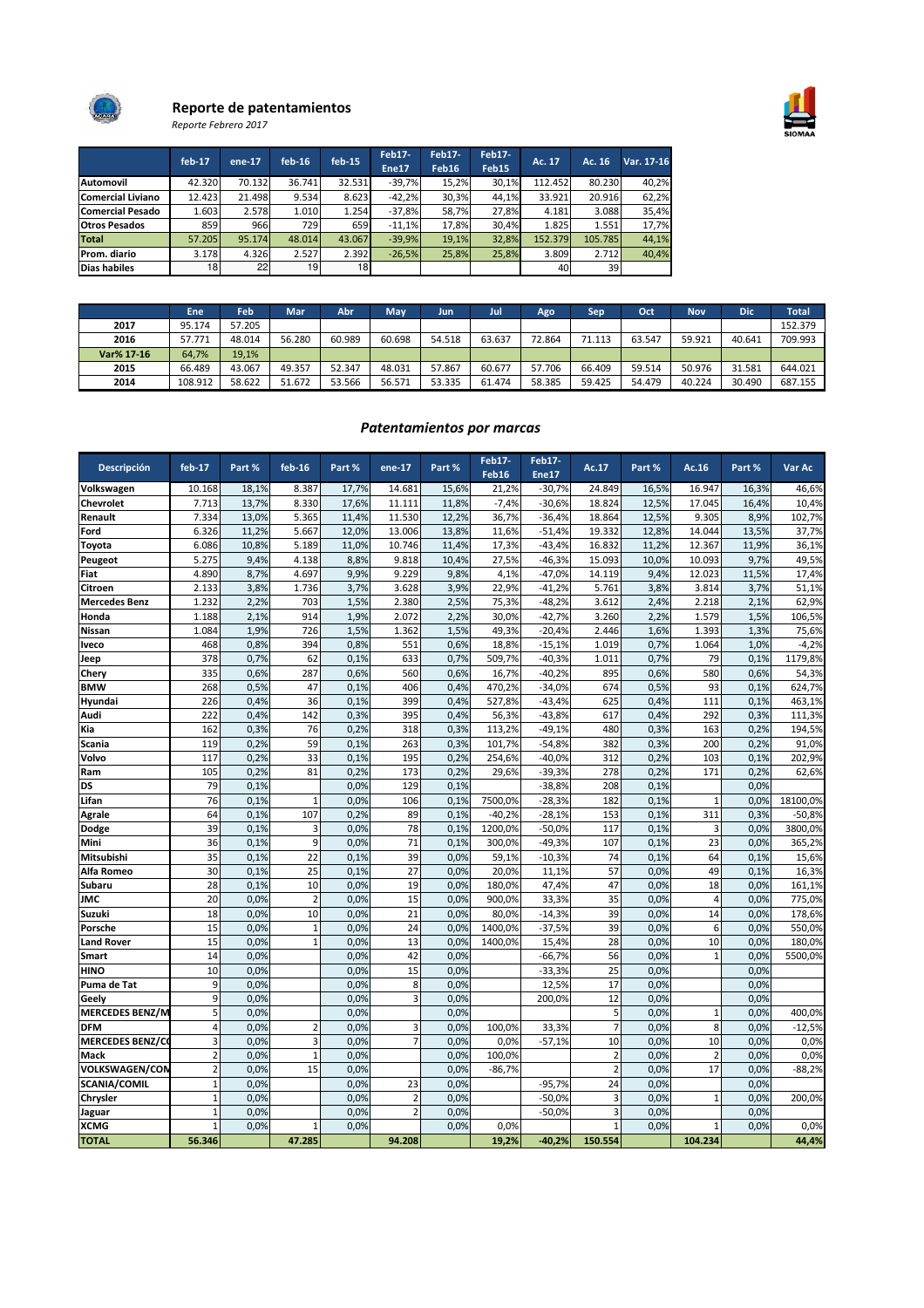

# Reporte de patentamientos

Reporte Febrero 2017

|                          | $feb-17$        | $ene-17$ | $feb-16$ | $feb-15$     | <b>Feb17-</b> | <b>Feb17-</b>     | Feb17- | Ac. 17  | Ac. 16  | Var. 17-16 |
|--------------------------|-----------------|----------|----------|--------------|---------------|-------------------|--------|---------|---------|------------|
|                          |                 |          |          |              | Ene17         | Feb <sub>16</sub> | Feb15  |         |         |            |
| Automovil                | 42.320          | 70.132   | 36.741   | 32.531       | $-39.7%$      | 15,2%             | 30.1%  | 112.452 | 80.230  | 40,2%      |
| <b>Comercial Liviano</b> | 12.423          | 21.498   | 9.534    | 8.623        | $-42,2%$      | 30,3%             | 44,1%  | 33.921  | 20.916  | 62,2%      |
| <b>Comercial Pesado</b>  | 1.603           | 2.578    | 1.010    | 1.254        | $-37.8%$      | 58,7%             | 27,8%  | 4.181   | 3.088   | 35,4%      |
| <b>Otros Pesados</b>     | 859             | 966      | 729      | 659 <b>I</b> | $-11.1%$      | 17,8%             | 30.4%  | 1.825   | 1.551   | 17,7%      |
| Total                    | 57.205          | 95.174   | 48.014   | 43.067       | $-39.9%$      | 19.1%             | 32.8%  | 152.379 | 105.785 | 44,1%      |
| Prom. diario             | 3.178           | 4.326    | 2.527    | 2.392        | $-26.5%$      | 25,8%             | 25,8%  | 3.809   | 2.712   | 40,4%      |
| <b>Dias habiles</b>      | 18 <sup>1</sup> | 22       | 19       | 18           |               |                   |        | 40      | 39      |            |

|            | Ene     | Feb    | Mar    | Abr    | May    | Jun    | Jul    | Ago    | Sep    | Oct    | <b>Nov</b> | <b>Dic</b> | <b>Total</b> |
|------------|---------|--------|--------|--------|--------|--------|--------|--------|--------|--------|------------|------------|--------------|
| 2017       | 95.174  | 57.205 |        |        |        |        |        |        |        |        |            |            | 152.379      |
| 2016       | 57.771  | 48.014 | 56.280 | 60.989 | 60.698 | 54.518 | 63.637 | 72.864 | 71.113 | 63.547 | 59.921     | 40.641     | 709.993      |
| Var% 17-16 | 64,7%   | 19,1%  |        |        |        |        |        |        |        |        |            |            |              |
| 2015       | 66.489  | 43.067 | 49.357 | 52.347 | 48.031 | 57.867 | 60.677 | 57.706 | 66.409 | 59.514 | 50.976     | 31.581     | 644.021      |
| 2014       | 108.912 | 58.622 | 51.672 | 53.566 | 56.571 | 53.335 | 61.474 | 58.385 | 59.425 | 54.479 | 40.224     | 30.490     | 687.155      |

## Patentamientos por marcas

| Descripción            | $feb-17$                | Part % | $feb-16$       | Part % | ene-17         | Part % | Feb17-<br>Feb16 | Feb17-<br>Ene17 | Ac.17          | Part % | Ac. $16$       | Part % | Var Ac   |
|------------------------|-------------------------|--------|----------------|--------|----------------|--------|-----------------|-----------------|----------------|--------|----------------|--------|----------|
| Volkswagen             | 10.168                  | 18,1%  | 8.387          | 17,7%  | 14.681         | 15.6%  | 21.2%           | $-30.7%$        | 24.849         | 16,5%  | 16.947         | 16,3%  | 46,6%    |
| Chevrolet              | 7.713                   | 13.7%  | 8.330          | 17.6%  | 11.111         | 11.8%  | $-7.4%$         | $-30.6%$        | 18.824         | 12,5%  | 17.045         | 16.4%  | 10,4%    |
| Renault                | 7.334                   | 13,0%  | 5.365          | 11,4%  | 11.530         | 12,2%  | 36,7%           | $-36,4%$        | 18.864         | 12,5%  | 9.305          | 8,9%   | 102,7%   |
| Ford                   | 6.326                   | 11,2%  | 5.667          | 12,0%  | 13.006         | 13,8%  | 11,6%           | $-51,4%$        | 19.332         | 12,8%  | 14.044         | 13,5%  | 37,7%    |
| Toyota                 | 6.086                   | 10,8%  | 5.189          | 11,0%  | 10.746         | 11,4%  | 17,3%           | $-43,4%$        | 16.832         | 11,2%  | 12.367         | 11,9%  | 36,1%    |
| Peugeot                | 5.275                   | 9,4%   | 4.138          | 8,8%   | 9.818          | 10,4%  | 27,5%           | $-46,3%$        | 15.093         | 10,0%  | 10.093         | 9,7%   | 49,5%    |
| Fiat                   | 4.890                   | 8,7%   | 4.697          | 9,9%   | 9.229          | 9,8%   | 4,1%            | $-47,0%$        | 14.119         | 9,4%   | 12.023         | 11,5%  | 17,4%    |
| Citroen                | 2.133                   | 3,8%   | 1.736          | 3,7%   | 3.628          | 3,9%   | 22,9%           | $-41,2%$        | 5.761          | 3,8%   | 3.814          | 3,7%   | 51,1%    |
| <b>Mercedes Benz</b>   | 1.232                   | 2,2%   | 703            | 1,5%   | 2.380          | 2,5%   | 75,3%           | $-48,2%$        | 3.612          | 2,4%   | 2.218          | 2,1%   | 62,9%    |
| Honda                  | 1.188                   | 2,1%   | 914            | 1,9%   | 2.072          | 2,2%   | 30,0%           | $-42,7%$        | 3.260          | 2,2%   | 1.579          | 1,5%   | 106,5%   |
| <b>Nissan</b>          | 1.084                   | 1,9%   | 726            | 1,5%   | 1.362          | 1,5%   | 49,3%           | $-20,4%$        | 2.446          | 1,6%   | 1.393          | 1,3%   | 75,6%    |
| <b>Iveco</b>           | 468                     | 0,8%   | 394            | 0.8%   | 551            | 0.6%   | 18,8%           | $-15,1%$        | 1.019          | 0,7%   | 1.064          | 1,0%   | $-4,2%$  |
| Jeep                   | 378                     | 0,7%   | 62             | 0,1%   | 633            | 0,7%   | 509,7%          | $-40.3%$        | 1.011          | 0,7%   | 79             | 0,1%   | 1179,8%  |
| Chery                  | 335                     | 0,6%   | 287            | 0,6%   | 560            | 0.6%   | 16,7%           | $-40,2%$        | 895            | 0,6%   | 580            | 0,6%   | 54,3%    |
| <b>BMW</b>             | 268                     | 0,5%   | 47             | 0,1%   | 406            | 0,4%   | 470,2%          | $-34,0%$        | 674            | 0,5%   | 93             | 0,1%   | 624,7%   |
| Hyundai                | 226                     | 0,4%   | 36             | 0,1%   | 399            | 0,4%   | 527,8%          | $-43,4%$        | 625            | 0,4%   | 111            | 0,1%   | 463,1%   |
| Audi                   | 222                     | 0,4%   | 142            | 0,3%   | 395            | 0,4%   | 56,3%           | $-43,8%$        | 617            | 0,4%   | 292            | 0,3%   | 111,3%   |
| Kia                    | 162                     | 0,3%   | 76             | 0,2%   | 318            | 0,3%   | 113,2%          | $-49,1%$        | 480            | 0,3%   | 163            | 0,2%   | 194,5%   |
| Scania                 | 119                     | 0,2%   | 59             | 0,1%   | 263            | 0,3%   | 101,7%          | $-54,8%$        | 382            | 0,3%   | 200            | 0,2%   | 91,0%    |
| Volvo                  | 117                     | 0,2%   | 33             | 0,1%   | 195            | 0,2%   | 254,6%          | $-40,0%$        | 312            | 0,2%   | 103            | 0,1%   | 202,9%   |
| Ram                    | 105                     | 0,2%   | 81             | 0,2%   | 173            | 0,2%   | 29,6%           | $-39,3%$        | 278            | 0,2%   | 171            | 0,2%   | 62,6%    |
| DS                     | 79                      | 0,1%   |                | 0,0%   | 129            | 0,1%   |                 | $-38,8%$        | 208            | 0,1%   |                | 0,0%   |          |
| Lifan                  | 76                      | 0.1%   | $\mathbf{1}$   | 0.0%   | 106            | 0.1%   | 7500,0%         | $-28.3%$        | 182            | 0.1%   | $\mathbf{1}$   | 0.0%   | 18100,0% |
| <b>Agrale</b>          | 64                      | 0,1%   | 107            | 0,2%   | 89             | 0.1%   | $-40,2%$        | $-28,1%$        | 153            | 0,1%   | 311            | 0,3%   | $-50,8%$ |
| Dodge                  | 39                      | 0,1%   | 3              | 0,0%   | 78             | 0,1%   | 1200,0%         | $-50,0%$        | 117            | 0,1%   | 3              | 0.0%   | 3800,0%  |
| Mini                   | 36                      | 0,1%   | 9              | 0,0%   | 71             | 0,1%   | 300,0%          | $-49,3%$        | 107            | 0,1%   | 23             | 0,0%   | 365,2%   |
| Mitsubishi             | 35                      | 0,1%   | 22             | 0,1%   | 39             | 0.0%   | 59,1%           | $-10,3%$        | 74             | 0,1%   | 64             | 0,1%   | 15,6%    |
| Alfa Romeo             | 30                      | 0,1%   | 25             | 0,1%   | 27             | 0,0%   | 20,0%           | 11,1%           | 57             | 0,0%   | 49             | 0,1%   | 16,3%    |
| Subaru                 | 28                      | 0,1%   | 10             | 0,0%   | 19             | 0.0%   | 180,0%          | 47,4%           | 47             | 0.0%   | 18             | 0,0%   | 161,1%   |
| <b>JMC</b>             | 20                      | 0,0%   | $\overline{2}$ | 0,0%   | 15             | 0.0%   | 900,0%          | 33,3%           | 35             | 0.0%   | $\overline{4}$ | 0,0%   | 775,0%   |
| Suzuki                 | 18                      | 0,0%   | 10             | 0,0%   | 21             | 0.0%   | 80.0%           | $-14,3%$        | 39             | 0,0%   | 14             | 0,0%   | 178,6%   |
| Porsche                | 15                      | 0,0%   | $\mathbf{1}$   | 0,0%   | 24             | 0.0%   | 1400,0%         | $-37,5%$        | 39             | 0,0%   | 6              | 0,0%   | 550,0%   |
| <b>Land Rover</b>      | 15                      | 0,0%   | $\overline{1}$ | 0,0%   | 13             | 0,0%   | 1400,0%         | 15,4%           | 28             | 0,0%   | 10             | 0,0%   | 180,0%   |
| Smart                  | 14                      | 0,0%   |                | 0,0%   | 42             | 0.0%   |                 | $-66,7%$        | 56             | 0,0%   | 1              | 0,0%   | 5500,0%  |
| <b>HINO</b>            | 10                      | 0,0%   |                | 0,0%   | 15             | 0.0%   |                 | $-33,3%$        | 25             | 0.0%   |                | 0.0%   |          |
| Puma de Tat            | 9                       | 0,0%   |                | 0,0%   | 8              | 0,0%   |                 | 12,5%           | 17             | 0,0%   |                | 0,0%   |          |
| Geely                  | 9                       | 0,0%   |                | 0,0%   | $\overline{3}$ | 0,0%   |                 | 200,0%          | 12             | 0.0%   |                | 0,0%   |          |
| <b>MERCEDES BENZ/N</b> | 5                       | 0.0%   |                | 0.0%   |                | 0.0%   |                 |                 | 5              | 0,0%   | $\mathbf{1}$   | 0,0%   | 400.0%   |
| <b>DFM</b>             | $\overline{4}$          | 0,0%   | $\overline{2}$ | 0,0%   | 3              | 0,0%   | 100,0%          | 33,3%           | $\overline{7}$ | 0,0%   | 8              | 0,0%   | $-12,5%$ |
| <b>MERCEDES BENZ/C</b> | $\overline{\mathbf{3}}$ | 0,0%   | 3              | 0.0%   | $\overline{7}$ | 0,0%   | 0,0%            | $-57,1%$        | 10             | 0.0%   | 10             | 0,0%   | 0,0%     |
| Mack                   | $\overline{2}$          | 0,0%   | $\mathbf{1}$   | 0,0%   |                | 0,0%   | 100,0%          |                 | $\overline{2}$ | 0.0%   | $\overline{2}$ | 0,0%   | 0,0%     |
| <b>VOLKSWAGEN/CON</b>  | $\overline{2}$          | 0,0%   | 15             | 0,0%   |                | 0,0%   | $-86,7%$        |                 | $\overline{2}$ | 0,0%   | 17             | 0,0%   | $-88,2%$ |
| <b>SCANIA/COMIL</b>    | $\mathbf{1}$            | 0,0%   |                | 0,0%   | 23             | 0,0%   |                 | $-95,7%$        | 24             | 0.0%   |                | 0,0%   |          |
| Chrysler               | $\mathbf{1}$            | 0,0%   |                | 0,0%   | $\overline{2}$ | 0,0%   |                 | $-50,0%$        | 3              | 0.0%   | $\mathbf{1}$   | 0,0%   | 200,0%   |
| Jaguar                 | $\mathbf{1}$            | 0,0%   |                | 0,0%   | $\overline{a}$ | 0,0%   |                 | $-50,0%$        | 3              | 0,0%   |                | 0,0%   |          |
| <b>XCMG</b>            | 1                       | 0,0%   | $\mathbf{1}$   | 0,0%   |                | 0.0%   | 0,0%            |                 |                | 0.0%   | $\mathbf{1}$   | 0,0%   | 0,0%     |
| <b>TOTAL</b>           | 56.346                  |        | 47.285         |        | 94.208         |        | 19,2%           | $-40,2%$        | 150.554        |        | 104.234        |        | 44,4%    |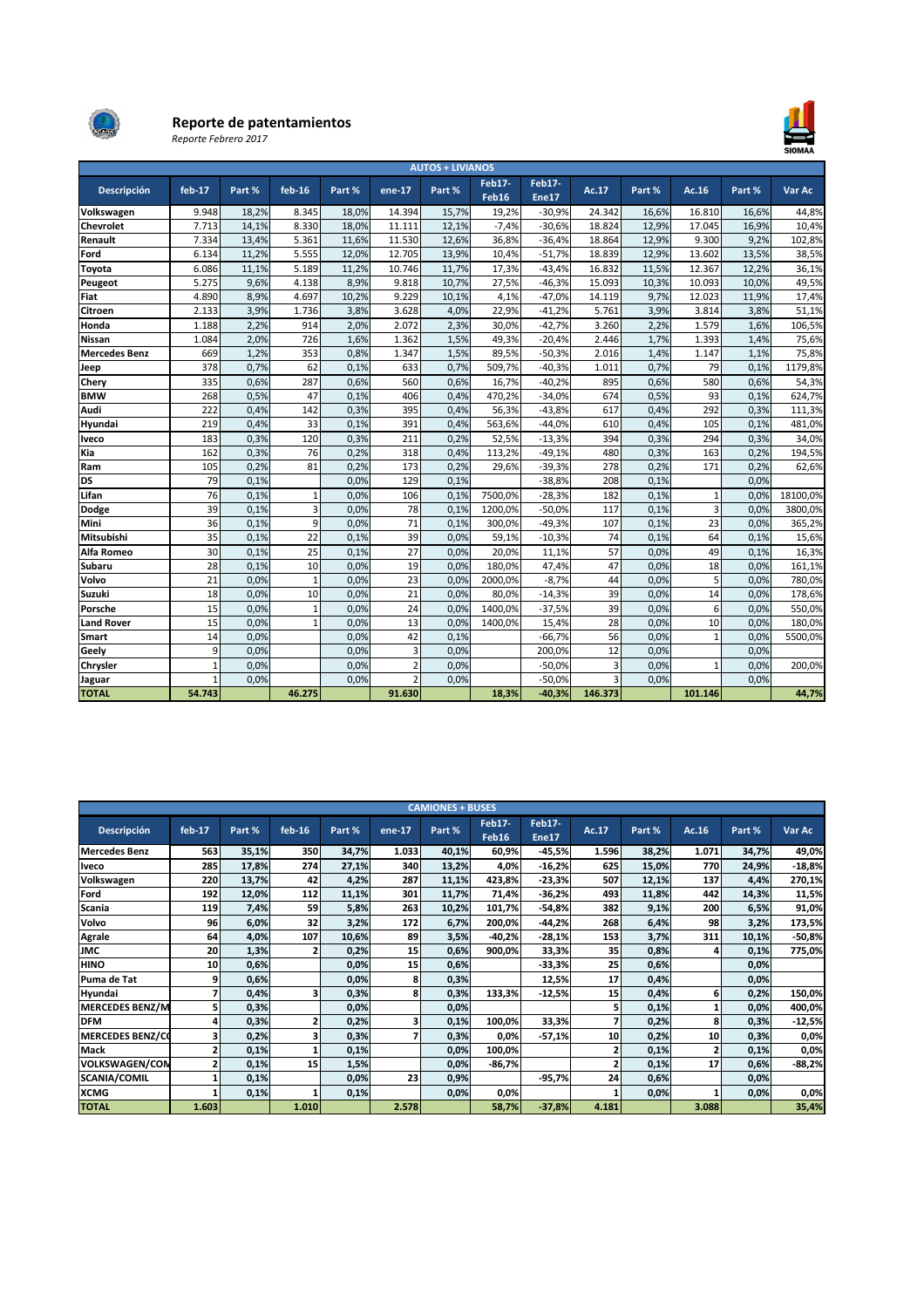

### Reporte de patentamientos

Reporte Febrero 2017



| <b>AUTOS + LIVIANOS</b> |          |        |              |        |                          |        |                                    |                        |         |        |         |        |          |
|-------------------------|----------|--------|--------------|--------|--------------------------|--------|------------------------------------|------------------------|---------|--------|---------|--------|----------|
| Descripción             | $feb-17$ | Part % | $feb-16$     | Part % | ene-17                   | Part % | <b>Feb17-</b><br>Feb <sub>16</sub> | <b>Feb17-</b><br>Ene17 | Ac.17   | Part % | Ac.16   | Part % | Var Ac   |
| Volkswagen              | 9.948    | 18,2%  | 8.345        | 18,0%  | 14.394                   | 15,7%  | 19,2%                              | $-30,9%$               | 24.342  | 16,6%  | 16.810  | 16,6%  | 44,8%    |
| <b>Chevrolet</b>        | 7.713    | 14,1%  | 8.330        | 18,0%  | 11.111                   | 12,1%  | $-7,4%$                            | $-30,6%$               | 18.824  | 12,9%  | 17.045  | 16,9%  | 10,4%    |
| Renault                 | 7.334    | 13,4%  | 5.361        | 11,6%  | 11.530                   | 12,6%  | 36,8%                              | $-36,4%$               | 18.864  | 12,9%  | 9.300   | 9,2%   | 102,8%   |
| Ford                    | 6.134    | 11,2%  | 5.555        | 12,0%  | 12.705                   | 13,9%  | 10,4%                              | $-51,7%$               | 18.839  | 12,9%  | 13.602  | 13,5%  | 38,5%    |
| Toyota                  | 6.086    | 11,1%  | 5.189        | 11,2%  | 10.746                   | 11,7%  | 17,3%                              | $-43,4%$               | 16.832  | 11,5%  | 12.367  | 12,2%  | 36,1%    |
| Peugeot                 | 5.275    | 9,6%   | 4.138        | 8,9%   | 9.818                    | 10,7%  | 27,5%                              | $-46,3%$               | 15.093  | 10,3%  | 10.093  | 10,0%  | 49,5%    |
| Fiat                    | 4.890    | 8,9%   | 4.697        | 10,2%  | 9.229                    | 10,1%  | 4,1%                               | $-47,0%$               | 14.119  | 9,7%   | 12.023  | 11,9%  | 17,4%    |
| Citroen                 | 2.133    | 3,9%   | 1.736        | 3,8%   | 3.628                    | 4,0%   | 22,9%                              | $-41,2%$               | 5.761   | 3,9%   | 3.814   | 3,8%   | 51,1%    |
| Honda                   | 1.188    | 2,2%   | 914          | 2,0%   | 2.072                    | 2,3%   | 30,0%                              | $-42,7%$               | 3.260   | 2,2%   | 1.579   | 1,6%   | 106,5%   |
| <b>Nissan</b>           | 1.084    | 2,0%   | 726          | 1,6%   | 1.362                    | 1,5%   | 49,3%                              | $-20,4%$               | 2.446   | 1,7%   | 1.393   | 1,4%   | 75,6%    |
| <b>Mercedes Benz</b>    | 669      | 1,2%   | 353          | 0,8%   | 1.347                    | 1,5%   | 89,5%                              | $-50,3%$               | 2.016   | 1,4%   | 1.147   | 1,1%   | 75,8%    |
| Jeep                    | 378      | 0,7%   | 62           | 0,1%   | 633                      | 0,7%   | 509,7%                             | $-40,3%$               | 1.011   | 0,7%   | 79      | 0,1%   | 1179,8%  |
| Chery                   | 335      | 0,6%   | 287          | 0,6%   | 560                      | 0,6%   | 16,7%                              | $-40,2%$               | 895     | 0,6%   | 580     | 0,6%   | 54,3%    |
| <b>BMW</b>              | 268      | 0,5%   | 47           | 0.1%   | 406                      | 0,4%   | 470,2%                             | $-34,0%$               | 674     | 0,5%   | 93      | 0,1%   | 624,7%   |
| Audi                    | 222      | 0,4%   | 142          | 0,3%   | 395                      | 0,4%   | 56,3%                              | $-43,8%$               | 617     | 0,4%   | 292     | 0,3%   | 111,3%   |
| Hyundai                 | 219      | 0,4%   | 33           | 0.1%   | 391                      | 0,4%   | 563,6%                             | $-44.0%$               | 610     | 0,4%   | 105     | 0,1%   | 481,0%   |
| Iveco                   | 183      | 0,3%   | 120          | 0,3%   | 211                      | 0,2%   | 52,5%                              | $-13,3%$               | 394     | 0,3%   | 294     | 0,3%   | 34,0%    |
| Kia                     | 162      | 0,3%   | 76           | 0,2%   | 318                      | 0,4%   | 113,2%                             | $-49,1%$               | 480     | 0,3%   | 163     | 0,2%   | 194,5%   |
| Ram                     | 105      | 0,2%   | 81           | 0,2%   | 173                      | 0,2%   | 29,6%                              | $-39,3%$               | 278     | 0,2%   | 171     | 0,2%   | 62,6%    |
| <b>DS</b>               | 79       | 0.1%   |              | 0.0%   | 129                      | 0,1%   |                                    | $-38,8%$               | 208     | 0,1%   |         | 0,0%   |          |
| Lifan                   | 76       | 0,1%   | 1            | 0,0%   | 106                      | 0,1%   | 7500,0%                            | $-28,3%$               | 182     | 0,1%   | 1       | 0.0%   | 18100,0% |
| <b>Dodge</b>            | 39       | 0,1%   | 3            | 0,0%   | 78                       | 0,1%   | 1200,0%                            | $-50,0%$               | 117     | 0,1%   | 3       | 0,0%   | 3800,0%  |
| Mini                    | 36       | 0,1%   | 9            | 0,0%   | 71                       | 0,1%   | 300,0%                             | $-49,3%$               | 107     | 0,1%   | 23      | 0,0%   | 365,2%   |
| Mitsubishi              | 35       | 0,1%   | 22           | 0,1%   | 39                       | 0,0%   | 59,1%                              | $-10,3%$               | 74      | 0,1%   | 64      | 0,1%   | 15,6%    |
| Alfa Romeo              | 30       | 0,1%   | 25           | 0,1%   | 27                       | 0,0%   | 20,0%                              | 11,1%                  | 57      | 0,0%   | 49      | 0,1%   | 16,3%    |
| Subaru                  | 28       | 0.1%   | 10           | 0.0%   | 19                       | 0.0%   | 180,0%                             | 47,4%                  | 47      | 0,0%   | 18      | 0,0%   | 161,1%   |
| Volvo                   | 21       | 0,0%   | $\mathbf{1}$ | 0,0%   | 23                       | 0,0%   | 2000,0%                            | $-8,7%$                | 44      | 0,0%   | 5       | 0,0%   | 780,0%   |
| Suzuki                  | 18       | 0,0%   | 10           | 0,0%   | 21                       | 0.0%   | 80,0%                              | $-14,3%$               | 39      | 0,0%   | 14      | 0,0%   | 178,6%   |
| Porsche                 | 15       | 0,0%   | 1            | 0,0%   | 24                       | 0.0%   | 1400,0%                            | $-37,5%$               | 39      | 0,0%   | 6       | 0,0%   | 550,0%   |
| <b>Land Rover</b>       | 15       | 0,0%   |              | 0,0%   | 13                       | 0,0%   | 1400,0%                            | 15,4%                  | 28      | 0,0%   | 10      | 0,0%   | 180,0%   |
| Smart                   | 14       | 0,0%   |              | 0,0%   | 42                       | 0,1%   |                                    | $-66,7%$               | 56      | 0,0%   | 1       | 0,0%   | 5500,0%  |
| Geely                   | 9        | 0,0%   |              | 0,0%   | 3                        | 0,0%   |                                    | 200,0%                 | 12      | 0,0%   |         | 0,0%   |          |
| Chrysler                | 1        | 0,0%   |              | 0,0%   | $\overline{\phantom{a}}$ | 0,0%   |                                    | $-50,0%$               | 3       | 0,0%   | 1       | 0,0%   | 200,0%   |
| Jaguar                  |          | 0,0%   |              | 0,0%   |                          | 0,0%   |                                    | $-50,0%$               | R       | 0,0%   |         | 0,0%   |          |
| <b>TOTAL</b>            | 54.743   |        | 46.275       |        | 91.630                   |        | 18,3%                              | $-40,3%$               | 146.373 |        | 101.146 |        | 44,7%    |

| <b>CAMIONES + BUSES</b> |                         |        |                |        |        |        |                 |                 |       |        |       |        |          |
|-------------------------|-------------------------|--------|----------------|--------|--------|--------|-----------------|-----------------|-------|--------|-------|--------|----------|
| Descripción             | $feb-17$                | Part % | $feb-16$       | Part % | ene-17 | Part % | Feb17-<br>Feb16 | Feb17-<br>Ene17 | Ac.17 | Part % | Ac.16 | Part % | Var Ac   |
| <b>Mercedes Benz</b>    | 563                     | 35,1%  | 350            | 34,7%  | 1.033  | 40,1%  | 60,9%           | $-45,5%$        | 1.596 | 38,2%  | 1.071 | 34,7%  | 49,0%    |
| <b>Iveco</b>            | 285                     | 17,8%  | 274            | 27,1%  | 340    | 13,2%  | 4,0%            | $-16,2%$        | 625   | 15,0%  | 770   | 24,9%  | $-18,8%$ |
| Volkswagen              | 220                     | 13,7%  | 42             | 4,2%   | 287    | 11,1%  | 423,8%          | $-23,3%$        | 507   | 12,1%  | 137   | 4,4%   | 270,1%   |
| Ford                    | 192                     | 12,0%  | 112            | 11,1%  | 301    | 11,7%  | 71,4%           | $-36,2%$        | 493   | 11,8%  | 442   | 14,3%  | 11,5%    |
| <b>Scania</b>           | 119                     | 7,4%   | 59             | 5,8%   | 263    | 10,2%  | 101,7%          | $-54,8%$        | 382   | 9,1%   | 200   | 6,5%   | 91,0%    |
| Volvo                   | 96                      | 6,0%   | 32             | 3,2%   | 172    | 6,7%   | 200,0%          | $-44,2%$        | 268   | 6,4%   | 98    | 3,2%   | 173,5%   |
| <b>Agrale</b>           | 64                      | 4,0%   | 107            | 10,6%  | 89     | 3,5%   | -40,2%          | $-28,1%$        | 153   | 3,7%   | 311   | 10,1%  | $-50,8%$ |
| <b>JMC</b>              | 20                      | 1,3%   | $\overline{2}$ | 0,2%   | 15     | 0,6%   | 900,0%          | 33,3%           | 35    | 0,8%   |       | 0,1%   | 775,0%   |
| <b>HINO</b>             | 10                      | 0,6%   |                | 0,0%   | 15     | 0,6%   |                 | -33,3%          | 25    | 0,6%   |       | 0,0%   |          |
| Puma de Tat             | 9                       | 0,6%   |                | 0,0%   | 8      | 0,3%   |                 | 12,5%           | 17    | 0,4%   |       | 0,0%   |          |
| Hyundai                 | 7                       | 0,4%   | 3              | 0,3%   | 8      | 0,3%   | 133,3%          | $-12,5%$        | 15    | 0,4%   | 6     | 0,2%   | 150,0%   |
| <b>MERCEDES BENZ/M</b>  | 5                       | 0,3%   |                | 0,0%   |        | 0,0%   |                 |                 |       | 0,1%   |       | 0,0%   | 400,0%   |
| <b>DFM</b>              | 4                       | 0,3%   | $\overline{2}$ | 0,2%   | 3      | 0,1%   | 100,0%          | 33,3%           |       | 0,2%   | 8     | 0,3%   | $-12,5%$ |
| <b>MERCEDES BENZ/CO</b> | 3                       | 0,2%   | 3              | 0,3%   |        | 0,3%   | 0,0%            | $-57,1%$        | 10    | 0,2%   | 10    | 0,3%   | 0,0%     |
| <b>Mack</b>             | $\overline{\mathbf{z}}$ | 0,1%   |                | 0,1%   |        | 0,0%   | 100,0%          |                 |       | 0,1%   |       | 0,1%   | 0,0%     |
| <b>VOLKSWAGEN/CON</b>   | $\overline{\mathbf{z}}$ | 0,1%   | 15             | 1,5%   |        | 0,0%   | $-86,7%$        |                 |       | 0,1%   | 17    | 0,6%   | $-88,2%$ |
| <b>SCANIA/COMIL</b>     | 1                       | 0,1%   |                | 0,0%   | 23     | 0,9%   |                 | $-95,7%$        | 24    | 0,6%   |       | 0,0%   |          |
| <b>XCMG</b>             |                         | 0,1%   |                | 0,1%   |        | 0,0%   | 0,0%            |                 |       | 0,0%   |       | 0,0%   | 0,0%     |
| <b>TOTAL</b>            | 1.603                   |        | 1.010          |        | 2.578  |        | 58,7%           | $-37,8%$        | 4.181 |        | 3.088 |        | 35,4%    |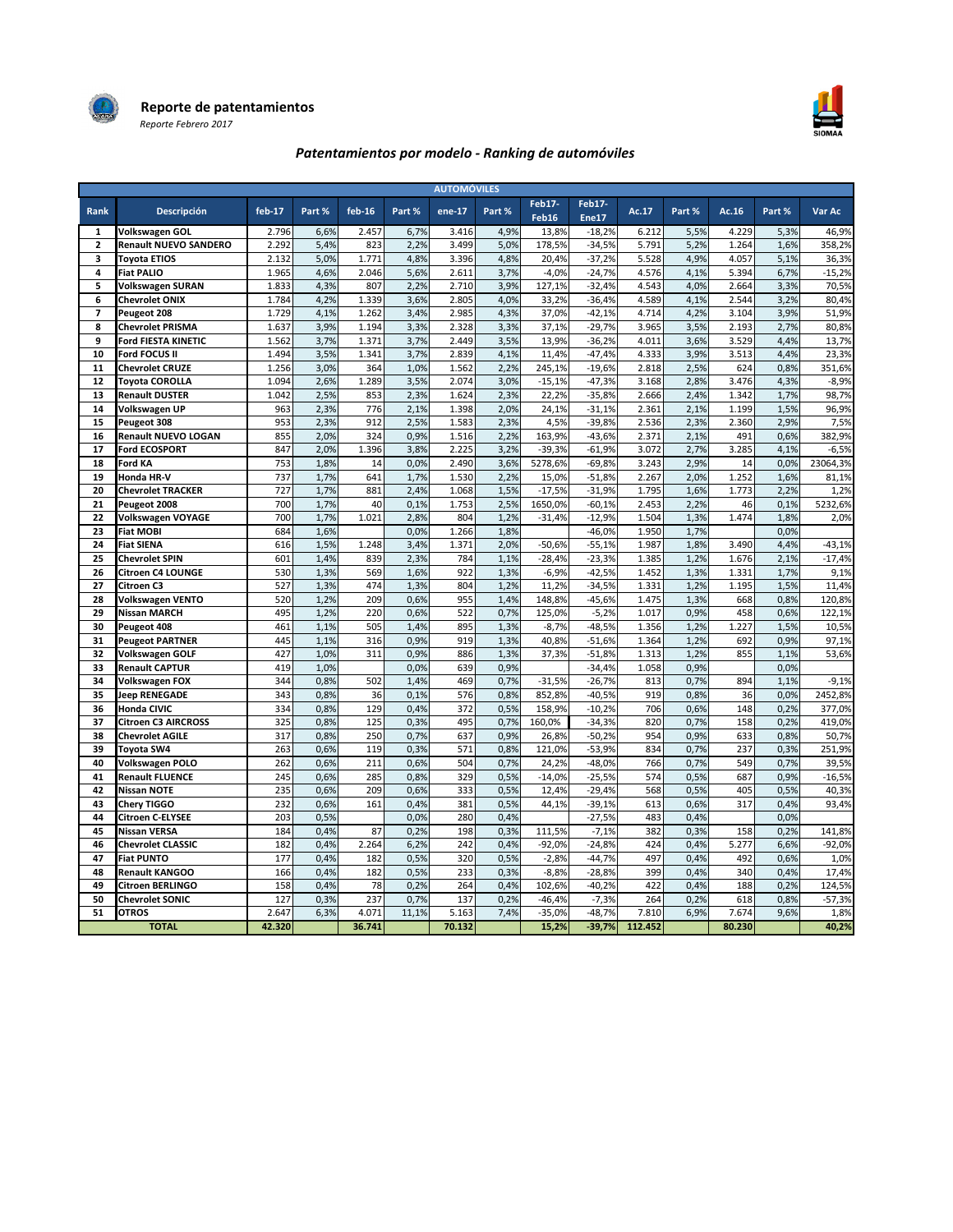



### Patentamientos por modelo - Ranking de automóviles

| <b>AUTOMÓVILES</b>      |                              |          |        |          |        |        |        |                 |                 |                   |        |          |        |          |
|-------------------------|------------------------------|----------|--------|----------|--------|--------|--------|-----------------|-----------------|-------------------|--------|----------|--------|----------|
| Rank                    | Descripción                  | $feb-17$ | Part % | $feb-16$ | Part % | ene-17 | Part % | Feb17-<br>Feb16 | Feb17-<br>Ene17 | Ac.17             | Part % | Ac. $16$ | Part % | Var Ac   |
| 1                       | Volkswagen GOL               | 2.796    | 6,6%   | 2.457    | 6,7%   | 3.416  | 4,9%   | 13,8%           | $-18,2%$        | 6.212             | 5,5%   | 4.229    | 5,3%   | 46,9%    |
| $\overline{2}$          | <b>Renault NUEVO SANDERO</b> | 2.292    | 5,4%   | 823      | 2,2%   | 3.499  | 5,0%   | 178,5%          | $-34,5%$        | 5.791             | 5,2%   | 1.264    | 1,6%   | 358,2%   |
| $\overline{\mathbf{3}}$ | <b>Toyota ETIOS</b>          | 2.132    | 5,0%   | 1.771    | 4,8%   | 3.396  | 4,8%   | 20.4%           | $-37,2%$        | 5.528             | 4,9%   | 4.057    | 5,1%   | 36,3%    |
| 4                       | <b>Fiat PALIO</b>            | 1.965    | 4,6%   | 2.046    | 5,6%   | 2.611  | 3,7%   | $-4,0%$         | $-24,7%$        | 4.576             | 4,1%   | 5.394    | 6,7%   | $-15,2%$ |
| 5                       | <b>Volkswagen SURAN</b>      | 1.833    | 4,3%   | 807      | 2,2%   | 2.710  | 3,9%   | 127,1%          | $-32,4%$        | 4.543             | 4,0%   | 2.664    | 3,3%   | 70,5%    |
| 6                       | <b>Chevrolet ONIX</b>        | 1.784    | 4,2%   | 1.339    | 3,6%   | 2.805  | 4,0%   | 33,2%           | $-36.4%$        | 4.589             | 4.1%   | 2.544    | 3,2%   | 80,4%    |
| $\overline{\mathbf{z}}$ | Peugeot 208                  | 1.729    | 4,1%   | 1.262    | 3,4%   | 2.985  | 4,3%   | 37,0%           | $-42,1%$        | 4.714             | 4,2%   | 3.104    | 3,9%   | 51,9%    |
| 8                       | <b>Chevrolet PRISMA</b>      | 1.637    | 3,9%   | 1.194    | 3,3%   | 2.328  | 3,3%   | 37,1%           | $-29,7%$        | 3.965             | 3,5%   | 2.193    | 2,7%   | 80,8%    |
| 9                       | <b>Ford FIESTA KINETIC</b>   | 1.562    | 3,7%   | 1.371    | 3,7%   | 2.449  | 3,5%   | 13,9%           | $-36,2%$        | 4.011             | 3,6%   | 3.529    | 4,4%   | 13,7%    |
| 10                      | Ford FOCUS II                | 1.494    | 3,5%   | 1.341    | 3,7%   | 2.839  | 4,1%   | 11,4%           | $-47,4%$        | 4.333             | 3,9%   | 3.513    | 4,4%   | 23,3%    |
| 11                      | <b>Chevrolet CRUZE</b>       | 1.256    | 3,0%   | 364      | 1,0%   | 1.562  | 2,2%   | 245,1%          | $-19,6%$        | 2.818             | 2,5%   | 624      | 0,8%   | 351,6%   |
| 12                      | <b>Toyota COROLLA</b>        | 1.094    | 2,6%   | 1.289    | 3,5%   | 2.074  | 3,0%   | $-15,1%$        | $-47,3%$        | 3.168             | 2,8%   | 3.476    | 4,3%   | $-8,9%$  |
| 13                      | <b>Renault DUSTER</b>        | 1.042    | 2,5%   | 853      | 2,3%   | 1.624  | 2,3%   | 22,2%           | $-35,8%$        | 2.666             | 2,4%   | 1.342    | 1,7%   | 98,7%    |
| 14                      | Volkswagen UP                | 963      | 2,3%   | 776      | 2,1%   | 1.398  | 2,0%   | 24,1%           | $-31,1%$        | 2.361             | 2,1%   | 1.199    | 1,5%   | 96,9%    |
| 15                      | Peugeot 308                  | 953      | 2,3%   | 912      | 2,5%   | 1.583  | 2,3%   | 4,5%            | $-39,8%$        | 2.536             | 2,3%   | 2.360    | 2,9%   | 7,5%     |
| 16                      | <b>Renault NUEVO LOGAN</b>   | 855      | 2,0%   | 324      | 0,9%   | 1.516  | 2,2%   | 163,9%          | $-43,6%$        | 2.371             | 2,1%   | 491      | 0,6%   | 382,9%   |
| 17                      | <b>Ford ECOSPORT</b>         | 847      | 2,0%   | 1.396    | 3,8%   | 2.225  | 3,2%   | $-39,3%$        | $-61,9%$        | 3.072             | 2,7%   | 3.285    | 4,1%   | $-6,5%$  |
| 18                      | <b>Ford KA</b>               | 753      | 1,8%   | 14       | 0,0%   | 2.490  | 3,6%   | 5278,6%         | $-69,8%$        | 3.243             | 2,9%   | 14       | 0,0%   | 23064,3% |
| 19                      | Honda HR-V                   | 737      | 1,7%   | 641      | 1,7%   | 1.530  | 2,2%   | 15,0%           | $-51,8%$        | 2.267             | 2,0%   | 1.252    | 1,6%   | 81,1%    |
| 20                      | <b>Chevrolet TRACKER</b>     | 727      | 1,7%   | 881      | 2,4%   | 1.068  | 1,5%   | $-17,5%$        | $-31,9%$        | 1.795             | 1,6%   | 1.773    | 2,2%   | 1,2%     |
| 21                      | Peugeot 2008                 | 700      | 1,7%   | 40       | 0,1%   | 1.753  | 2,5%   | 1650,0%         | $-60,1%$        | 2.453             | 2,2%   | 46       | 0,1%   | 5232,6%  |
| 22                      | Volkswagen VOYAGE            | 700      | 1,7%   | 1.021    | 2,8%   | 804    | 1,2%   | $-31,4%$        | $-12,9%$        | 1.504             | 1,3%   | 1.474    | 1,8%   | 2,0%     |
| 23                      | <b>Fiat MOBI</b>             | 684      | 1,6%   |          | 0,0%   | 1.266  | 1,8%   |                 | $-46,0%$        | 1.950             | 1,7%   |          | 0,0%   |          |
| 24                      | <b>Fiat SIENA</b>            | 616      | 1,5%   | 1.248    | 3,4%   | 1.371  | 2,0%   | $-50,6%$        | $-55,1%$        | 1.987             | 1,8%   | 3.490    | 4,4%   | $-43,1%$ |
| 25                      | <b>Chevrolet SPIN</b>        | 601      | 1,4%   | 839      | 2,3%   | 784    | 1,1%   | $-28.4%$        | $-23,3%$        | 1.385             | 1,2%   | 1.676    | 2,1%   | $-17,4%$ |
| 26                      | <b>Citroen C4 LOUNGE</b>     | 530      | 1,3%   | 569      | 1,6%   | 922    | 1,3%   | $-6,9%$         | $-42,5%$        | 1.452             | 1,3%   | 1.331    | 1,7%   | 9,1%     |
| 27                      | Citroen C3                   | 527      | 1,3%   | 474      | 1,3%   | 804    | 1,2%   | 11,2%           | $-34,5%$        | 1.331             | 1,2%   | 1.195    | 1,5%   | 11,4%    |
| 28                      | <b>Volkswagen VENTO</b>      | 520      | 1,2%   | 209      | 0,6%   | 955    | 1,4%   | 148,8%          | $-45,6%$        | 1.475             | 1,3%   | 668      | 0,8%   | 120,8%   |
| 29                      | <b>Nissan MARCH</b>          | 495      | 1,2%   | 220      | 0,6%   | 522    | 0,7%   | 125,0%          | $-5,2%$         | 1.017             | 0,9%   | 458      | 0,6%   | 122,1%   |
| 30                      | Peugeot 408                  | 461      | 1,1%   | 505      | 1,4%   | 895    | 1,3%   | $-8,7%$         | $-48,5%$        | 1.356             | 1,2%   | 1.227    | 1,5%   | 10,5%    |
| 31                      | <b>Peugeot PARTNER</b>       | 445      | 1,1%   | 316      | 0,9%   | 919    | 1,3%   | 40,8%           | $-51,6%$        | 1.364             | 1,2%   | 692      | 0,9%   | 97,1%    |
| 32                      | <b>Volkswagen GOLF</b>       | 427      | 1,0%   | 311      | 0,9%   | 886    | 1,3%   | 37,3%           | $-51,8%$        | 1.313             | 1,2%   | 855      | 1,1%   | 53,6%    |
| 33                      | <b>Renault CAPTUR</b>        | 419      | 1,0%   |          | 0,0%   | 639    | 0,9%   |                 | $-34,4%$        | 1.058             | 0,9%   |          | 0,0%   |          |
| 34                      | Volkswagen FOX               | 344      | 0,8%   | 502      | 1,4%   | 469    | 0,7%   | $-31,5%$        | $-26,7%$        | 813               | 0,7%   | 894      | 1,1%   | $-9,1%$  |
| 35                      | <b>Jeep RENEGADE</b>         | 343      | 0,8%   | 36       | 0,1%   | 576    | 0,8%   | 852,8%          | $-40,5%$        | 919               | 0,8%   | 36       | 0,0%   | 2452,8%  |
| 36                      | Honda CIVIC                  | 334      | 0,8%   | 129      | 0,4%   | 372    | 0,5%   | 158,9%          | $-10,2%$        | 706               | 0,6%   | 148      | 0,2%   | 377,0%   |
| 37                      | <b>Citroen C3 AIRCROSS</b>   | 325      | 0,8%   | 125      | 0,3%   | 495    | 0,7%   | 160,0%          | $-34,3%$        | 820               | 0,7%   | 158      | 0,2%   | 419,0%   |
| 38                      | <b>Chevrolet AGILE</b>       | 317      | 0,8%   | 250      | 0,7%   | 637    | 0,9%   | 26,8%           | $-50,2%$        | 954               | 0,9%   | 633      | 0,8%   | 50,7%    |
| 39                      | Toyota SW4                   | 263      | 0,6%   | 119      | 0,3%   | 571    | 0,8%   | 121,0%          | $-53,9%$        | 834               | 0,7%   | 237      | 0,3%   | 251,9%   |
| 40                      | Volkswagen POLO              | 262      | 0,6%   | 211      | 0,6%   | 504    | 0,7%   | 24,2%           | $-48,0%$        | 766               | 0,7%   | 549      | 0,7%   | 39,5%    |
| 41                      | <b>Renault FLUENCE</b>       | 245      | 0,6%   | 285      | 0,8%   | 329    | 0,5%   | $-14,0%$        | $-25,5%$        | 574               | 0,5%   | 687      | 0,9%   | $-16,5%$ |
| 42                      | <b>Nissan NOTE</b>           | 235      | 0,6%   | 209      | 0,6%   | 333    | 0,5%   | 12,4%           | $-29,4%$        | 568               | 0,5%   | 405      | 0,5%   | 40,3%    |
| 43                      | Chery TIGGO                  | 232      | 0,6%   | 161      | 0,4%   | 381    | 0,5%   | 44,1%           | $-39,1%$        | 613               | 0,6%   | 317      | 0,4%   | 93,4%    |
| 44                      | Citroen C-ELYSEE             | 203      | 0,5%   |          | 0,0%   | 280    | 0,4%   |                 | $-27,5%$        | 483               | 0,4%   |          | 0,0%   |          |
| 45                      | <b>Nissan VERSA</b>          | 184      | 0,4%   | 87       | 0,2%   | 198    | 0,3%   | 111,5%          | $-7,1%$         | 382               | 0,3%   | 158      | 0,2%   | 141,8%   |
| 46                      | <b>Chevrolet CLASSIC</b>     | 182      | 0,4%   | 2.264    | 6,2%   | 242    | 0,4%   | $-92,0%$        | $-24,8%$        | 424               | 0,4%   | 5.277    | 6,6%   | $-92,0%$ |
| 47                      | <b>Fiat PUNTO</b>            | 177      | 0,4%   | 182      | 0,5%   | 320    | 0,5%   | $-2,8%$         | $-44,7%$        | 497               | 0,4%   | 492      | 0,6%   | 1,0%     |
| 48                      | <b>Renault KANGOO</b>        | 166      | 0,4%   | 182      | 0,5%   | 233    | 0,3%   | $-8,8%$         | $-28,8%$        | 399               | 0,4%   | 340      | 0,4%   | 17,4%    |
| 49                      | <b>Citroen BERLINGO</b>      | 158      | 0,4%   | 78       | 0,2%   | 264    | 0,4%   | 102,6%          | $-40,2%$        | 422               | 0,4%   | 188      | 0,2%   | 124,5%   |
| 50                      | <b>Chevrolet SONIC</b>       | 127      | 0,3%   | 237      | 0,7%   | 137    | 0,2%   | $-46,4%$        | $-7,3%$         | 264               | 0,2%   | 618      | 0,8%   | $-57,3%$ |
| 51                      | <b>OTROS</b>                 | 2.647    | 6,3%   | 4.071    | 11,1%  | 5.163  | 7,4%   | $-35,0%$        | $-48,7%$        | 7.810             | 6,9%   | 7.674    | 9,6%   | 1,8%     |
|                         | <b>TOTAL</b>                 | 42.320   |        | 36.741   |        | 70.132 |        | 15,2%           |                 | $-39,7\%$ 112.452 |        | 80.230   |        | 40,2%    |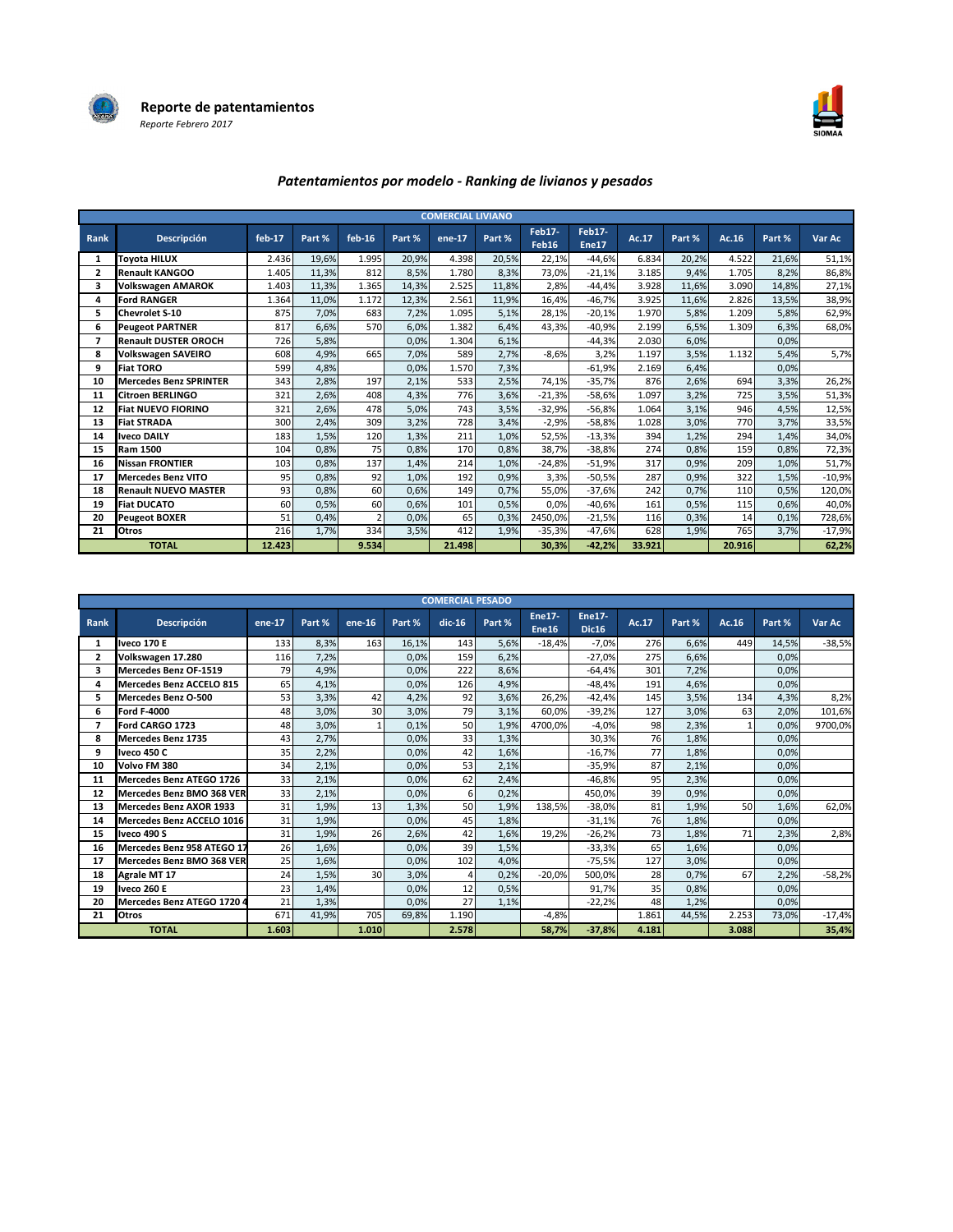



### Patentamientos por modelo - Ranking de livianos y pesados

|              |                               |          |        |                |        | <b>COMERCIAL LIVIANO</b> |        |                 |                 |        |        |        |        |          |
|--------------|-------------------------------|----------|--------|----------------|--------|--------------------------|--------|-----------------|-----------------|--------|--------|--------|--------|----------|
| Rank         | Descripción                   | $feb-17$ | Part % | $feb-16$       | Part % | ene-17                   | Part % | Feb17-<br>Feb16 | Feb17-<br>Ene17 | Ac.17  | Part % | Ac.16  | Part % | Var Ac   |
| $\mathbf{1}$ | <b>Toyota HILUX</b>           | 2.436    | 19,6%  | 1.995          | 20,9%  | 4.398                    | 20,5%  | 22,1%           | $-44,6%$        | 6.834  | 20,2%  | 4.522  | 21,6%  | 51,1%    |
| $\mathbf{z}$ | <b>Renault KANGOO</b>         | 1.405    | 11,3%  | 812            | 8,5%   | 1.780                    | 8,3%   | 73,0%           | $-21,1%$        | 3.185  | 9,4%   | 1.705  | 8,2%   | 86,8%    |
| 3            | <b>Volkswagen AMAROK</b>      | 1.403    | 11,3%  | 1.365          | 14,3%  | 2.525                    | 11,8%  | 2,8%            | $-44,4%$        | 3.928  | 11,6%  | 3.090  | 14,8%  | 27,1%    |
| 4            | <b>Ford RANGER</b>            | 1.364    | 11,0%  | 1.172          | 12,3%  | 2.561                    | 11,9%  | 16,4%           | $-46,7%$        | 3.925  | 11,6%  | 2.826  | 13,5%  | 38,9%    |
| 5            | <b>Chevrolet S-10</b>         | 875      | 7,0%   | 683            | 7,2%   | 1.095                    | 5,1%   | 28,1%           | $-20,1%$        | 1.970  | 5,8%   | 1.209  | 5,8%   | 62,9%    |
| 6            | <b>Peugeot PARTNER</b>        | 817      | 6,6%   | 570            | 6,0%   | 1.382                    | 6,4%   | 43,3%           | $-40,9%$        | 2.199  | 6,5%   | 1.309  | 6,3%   | 68,0%    |
| 7            | <b>Renault DUSTER OROCH</b>   | 726      | 5,8%   |                | 0,0%   | 1.304                    | 6,1%   |                 | $-44,3%$        | 2.030  | 6,0%   |        | 0,0%   |          |
| 8            | <b>Volkswagen SAVEIRO</b>     | 608      | 4,9%   | 665            | 7,0%   | 589                      | 2,7%   | $-8,6%$         | 3,2%            | 1.197  | 3,5%   | 1.132  | 5,4%   | 5,7%     |
| 9            | <b>Fiat TORO</b>              | 599      | 4,8%   |                | 0,0%   | 1.570                    | 7,3%   |                 | $-61,9%$        | 2.169  | 6,4%   |        | 0.0%   |          |
| 10           | <b>Mercedes Benz SPRINTER</b> | 343      | 2,8%   | 197            | 2,1%   | 533                      | 2,5%   | 74,1%           | $-35,7%$        | 876    | 2,6%   | 694    | 3,3%   | 26,2%    |
| 11           | <b>Citroen BERLINGO</b>       | 321      | 2,6%   | 408            | 4,3%   | 776                      | 3,6%   | $-21,3%$        | $-58,6%$        | 1.097  | 3,2%   | 725    | 3,5%   | 51,3%    |
| 12           | <b>Fiat NUEVO FIORINO</b>     | 321      | 2,6%   | 478            | 5,0%   | 743                      | 3,5%   | $-32,9%$        | $-56,8%$        | 1.064  | 3,1%   | 946    | 4,5%   | 12,5%    |
| 13           | <b>Fiat STRADA</b>            | 300      | 2,4%   | 309            | 3,2%   | 728                      | 3,4%   | $-2,9%$         | $-58,8%$        | 1.028  | 3,0%   | 770    | 3,7%   | 33,5%    |
| 14           | <b>Iveco DAILY</b>            | 183      | 1,5%   | 120            | 1,3%   | 211                      | 1,0%   | 52,5%           | $-13,3%$        | 394    | 1,2%   | 294    | 1,4%   | 34,0%    |
| 15           | <b>Ram 1500</b>               | 104      | 0,8%   | 75             | 0,8%   | 170                      | 0,8%   | 38,7%           | $-38,8%$        | 274    | 0,8%   | 159    | 0,8%   | 72,3%    |
| 16           | <b>Nissan FRONTIER</b>        | 103      | 0,8%   | 137            | 1,4%   | 214                      | 1,0%   | $-24,8%$        | $-51,9%$        | 317    | 0,9%   | 209    | 1,0%   | 51,7%    |
| 17           | <b>Mercedes Benz VITO</b>     | 95       | 0,8%   | 92             | 1,0%   | 192                      | 0,9%   | 3,3%            | $-50,5%$        | 287    | 0,9%   | 322    | 1,5%   | $-10,9%$ |
| 18           | <b>Renault NUEVO MASTER</b>   | 93       | 0,8%   | 60             | 0,6%   | 149                      | 0,7%   | 55,0%           | $-37,6%$        | 242    | 0.7%   | 110    | 0,5%   | 120,0%   |
| 19           | <b>Fiat DUCATO</b>            | 60       | 0,5%   | 60             | 0,6%   | 101                      | 0,5%   | 0,0%            | $-40,6%$        | 161    | 0,5%   | 115    | 0,6%   | 40,0%    |
| 20           | <b>Peugeot BOXER</b>          | 51       | 0,4%   | $\overline{2}$ | 0.0%   | 65                       | 0,3%   | 2450,0%         | $-21,5%$        | 116    | 0,3%   | 14     | 0,1%   | 728,6%   |
| 21           | Otros                         | 216      | 1,7%   | 334            | 3,5%   | 412                      | 1,9%   | $-35,3%$        | $-47,6%$        | 628    | 1,9%   | 765    | 3,7%   | $-17,9%$ |
|              | <b>TOTAL</b>                  | 12.423   |        | 9.534          |        | 21.498                   |        | 30,3%           | $-42.2%$        | 33.921 |        | 20.916 |        | 62,2%    |

|      |                                 |        |        |        |        | <b>COMERCIAL PESADO</b> |        |                               |                               |       |        |       |        |          |
|------|---------------------------------|--------|--------|--------|--------|-------------------------|--------|-------------------------------|-------------------------------|-------|--------|-------|--------|----------|
| Rank | Descripción                     | ene-17 | Part % | ene-16 | Part % | $dic-16$                | Part % | <b>Ene17-</b><br><b>Ene16</b> | <b>Ene17-</b><br><b>Dic16</b> | Ac.17 | Part % | Ac.16 | Part % | Var Ac   |
| 1    | <b>Iveco 170 E</b>              | 133    | 8,3%   | 163    | 16,1%  | 143                     | 5,6%   | $-18.4%$                      | $-7,0%$                       | 276   | 6,6%   | 449   | 14.5%  | $-38,5%$ |
| 2    | Volkswagen 17.280               | 116    | 7,2%   |        | 0,0%   | 159                     | 6,2%   |                               | $-27,0%$                      | 275   | 6,6%   |       | 0.0%   |          |
| 3    | <b>Mercedes Benz OF-1519</b>    | 79     | 4,9%   |        | 0,0%   | 222                     | 8,6%   |                               | -64,4%                        | 301   | 7,2%   |       | 0,0%   |          |
| 4    | <b>Mercedes Benz ACCELO 815</b> | 65     | 4,1%   |        | 0,0%   | 126                     | 4,9%   |                               | $-48.4%$                      | 191   | 4,6%   |       | 0,0%   |          |
| 5.   | <b>Mercedes Benz O-500</b>      | 53     | 3,3%   | 42     | 4,2%   | 92                      | 3,6%   | 26,2%                         | $-42,4%$                      | 145   | 3,5%   | 134   | 4,3%   | 8,2%     |
| 6    | <b>Ford F-4000</b>              | 48     | 3.0%   | 30     | 3,0%   | 79                      | 3,1%   | 60.0%                         | $-39,2%$                      | 127   | 3,0%   | 63    | 2,0%   | 101,6%   |
| 7    | Ford CARGO 1723                 | 48     | 3,0%   |        | 0.1%   | 50                      | 1,9%   | 4700,0%                       | $-4.0%$                       | 98    | 2,3%   | 1     | 0.0%   | 9700,0%  |
| 8    | <b>Mercedes Benz 1735</b>       | 43     | 2.7%   |        | 0,0%   | 33                      | 1,3%   |                               | 30,3%                         | 76    | 1,8%   |       | 0,0%   |          |
| 9    | Iveco 450 C                     | 35     | 2,2%   |        | 0,0%   | 42                      | 1,6%   |                               | $-16.7%$                      | 77    | 1,8%   |       | 0,0%   |          |
| 10   | Volvo FM 380                    | 34     | 2,1%   |        | 0.0%   | 53                      | 2,1%   |                               | $-35,9%$                      | 87    | 2,1%   |       | 0.0%   |          |
| 11   | Mercedes Benz ATEGO 1726        | 33     | 2,1%   |        | 0.0%   | 62                      | 2,4%   |                               | $-46.8%$                      | 95    | 2,3%   |       | 0.0%   |          |
| 12   | Mercedes Benz BMO 368 VER       | 33     | 2,1%   |        | 0,0%   | 6                       | 0,2%   |                               | 450,0%                        | 39    | 0,9%   |       | 0,0%   |          |
| 13   | Mercedes Benz AXOR 1933         | 31     | 1,9%   | 13     | 1,3%   | 50                      | 1,9%   | 138.5%                        | $-38.0%$                      | 81    | 1,9%   | 50    | 1.6%   | 62,0%    |
| 14   | Mercedes Benz ACCELO 1016       | 31     | 1,9%   |        | 0.0%   | 45                      | 1,8%   |                               | $-31,1%$                      | 76    | 1,8%   |       | 0.0%   |          |
| 15   | Iveco 490 S                     | 31     | 1,9%   | 26     | 2,6%   | 42                      | 1,6%   | 19,2%                         | $-26,2%$                      | 73    | 1,8%   | 71    | 2,3%   | 2,8%     |
| 16   | Mercedes Benz 958 ATEGO 17      | 26     | 1,6%   |        | 0.0%   | 39                      | 1,5%   |                               | $-33,3%$                      | 65    | 1,6%   |       | 0.0%   |          |
| 17   | Mercedes Benz BMO 368 VER       | 25     | 1,6%   |        | 0.0%   | 102                     | 4,0%   |                               | $-75,5%$                      | 127   | 3,0%   |       | 0.0%   |          |
| 18   | <b>Agrale MT 17</b>             | 24     | 1,5%   | 30     | 3,0%   | $\overline{4}$          | 0,2%   | $-20,0%$                      | 500,0%                        | 28    | 0,7%   | 67    | 2,2%   | $-58,2%$ |
| 19   | <b>Iveco 260 E</b>              | 23     | 1,4%   |        | 0,0%   | 12                      | 0,5%   |                               | 91,7%                         | 35    | 0,8%   |       | 0.0%   |          |
| 20   | Mercedes Benz ATEGO 1720 4      | 21     | 1,3%   |        | 0,0%   | 27                      | 1,1%   |                               | $-22,2%$                      | 48    | 1,2%   |       | 0,0%   |          |
| 21   | Otros                           | 671    | 41,9%  | 705    | 69,8%  | 1.190                   |        | $-4,8%$                       |                               | 1.861 | 44,5%  | 2.253 | 73,0%  | $-17,4%$ |
|      | <b>TOTAL</b>                    | 1.603  |        | 1.010  |        | 2.578                   |        | 58.7%                         | $-37,8%$                      | 4.181 |        | 3.088 |        | 35,4%    |